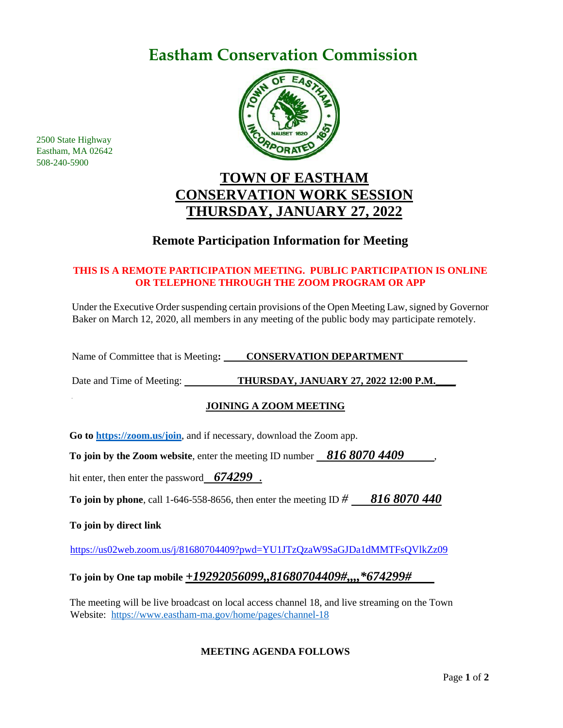## **Eastham Conservation Commission**



### **TOWN OF EASTHAM CONSERVATION WORK SESSION THURSDAY, JANUARY 27, 2022**

### **Remote Participation Information for Meeting**

#### **THIS IS A REMOTE PARTICIPATION MEETING. PUBLIC PARTICIPATION IS ONLINE OR TELEPHONE THROUGH THE ZOOM PROGRAM OR APP**

Under the Executive Order suspending certain provisions of the Open Meeting Law, signed by Governor Baker on March 12, 2020, all members in any meeting of the public body may participate remotely.

Name of Committee that is Meeting: **CONSERVATION DEPARTMENT** 

Date and Time of Meeting: THURSDAY, JANUARY 27, 2022 12:00 P.M.

#### **JOINING A ZOOM MEETING**

**Go to<https://zoom.us/join>**, and if necessary, download the Zoom app.

**To join by the Zoom website**, enter the meeting ID number *816 8070 4409*,

hit enter, then enter the password *674299* .

**To join by phone**, call 1-646-558-8656, then enter the meeting ID *# 816 8070 440*

**To join by direct link**

2500 State Highway Eastham, MA 02642 508-240-5900

<https://us02web.zoom.us/j/81680704409?pwd=YU1JTzQzaW9SaGJDa1dMMTFsQVlkZz09>

#### **To join by One tap mobile** *+19292056099,,81680704409#,,,,\*674299#*

The meeting will be live broadcast on local access channel 18, and live streaming on the Town Website: <https://www.eastham-ma.gov/home/pages/channel-18>

#### **MEETING AGENDA FOLLOWS**